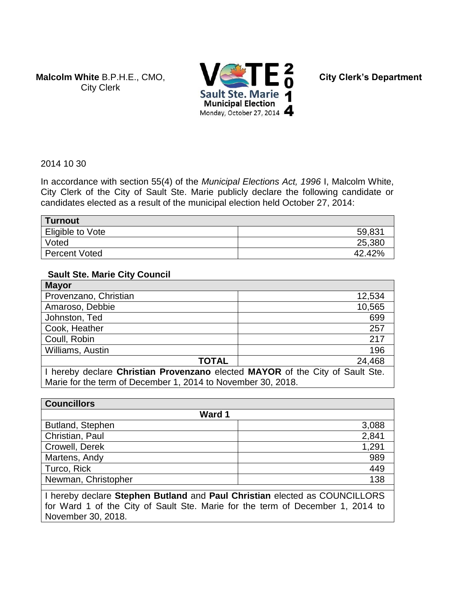**Malcolm White** B.P.H.E., CMO, City Clerk



**City Clerk's Department**

2014 10 30

In accordance with section 55(4) of the *Municipal Elections Act, 1996* I, Malcolm White, City Clerk of the City of Sault Ste. Marie publicly declare the following candidate or candidates elected as a result of the municipal election held October 27, 2014:

| ∣ Turnout            |        |
|----------------------|--------|
| Eligible to Vote     | 59,831 |
| <b>Voted</b>         | 25,380 |
| <b>Percent Voted</b> | 42.42% |

### **Sault Ste. Marie City Council**

| <b>Mayor</b>                                                                  |        |
|-------------------------------------------------------------------------------|--------|
| Provenzano, Christian                                                         | 12,534 |
| Amaroso, Debbie                                                               | 10,565 |
| Johnston, Ted                                                                 | 699    |
| Cook, Heather                                                                 | 257    |
| Coull, Robin                                                                  | 217    |
| Williams, Austin                                                              | 196    |
| <b>TOTAL</b>                                                                  | 24,468 |
| I hereby declare Christian Provenzano elected MAYOR of the City of Sault Ste. |        |
| Marie for the term of December 1, 2014 to November 30, 2018.                  |        |

| <b>Councillors</b>  |       |
|---------------------|-------|
| Ward 1              |       |
| Butland, Stephen    | 3,088 |
| Christian, Paul     | 2,841 |
| Crowell, Derek      | 1,291 |
| Martens, Andy       | 989   |
| Turco, Rick         | 449   |
| Newman, Christopher | 138   |

I hereby declare **Stephen Butland** and **Paul Christian** elected as COUNCILLORS for Ward 1 of the City of Sault Ste. Marie for the term of December 1, 2014 to November 30, 2018.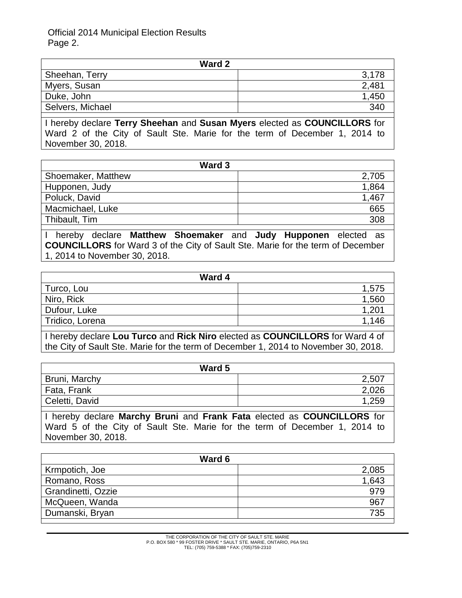Official 2014 Municipal Election Results Page 2.

| Ward 2           |       |
|------------------|-------|
| Sheehan, Terry   | 3,178 |
| Myers, Susan     | 2,481 |
| Duke, John       | 1,450 |
| Selvers, Michael | 340   |

I hereby declare **Terry Sheehan** and **Susan Myers** elected as **COUNCILLORS** for Ward 2 of the City of Sault Ste. Marie for the term of December 1, 2014 to November 30, 2018.

| Ward 3             |       |
|--------------------|-------|
| Shoemaker, Matthew | 2,705 |
| Hupponen, Judy     | 1,864 |
| Poluck, David      | 1,467 |
| Macmichael, Luke   | 665   |
| Thibault, Tim      | 308   |
|                    |       |

I hereby declare **Matthew Shoemaker** and **Judy Hupponen** elected as **COUNCILLORS** for Ward 3 of the City of Sault Ste. Marie for the term of December 1, 2014 to November 30, 2018.

| Ward 4          |       |
|-----------------|-------|
| Turco, Lou      | 1,575 |
| Niro, Rick      | 1,560 |
| Dufour, Luke    | 1,201 |
| Tridico, Lorena | 1,146 |
|                 |       |

I hereby declare **Lou Turco** and **Rick Niro** elected as **COUNCILLORS** for Ward 4 of the City of Sault Ste. Marie for the term of December 1, 2014 to November 30, 2018.

| Ward 5         |       |
|----------------|-------|
| Bruni, Marchy  | 2,507 |
| Fata, Frank    | 2,026 |
| Celetti, David | 1,259 |
|                |       |

I hereby declare **Marchy Bruni** and **Frank Fata** elected as **COUNCILLORS** for Ward 5 of the City of Sault Ste. Marie for the term of December 1, 2014 to November 30, 2018.

| Ward 6             |       |  |
|--------------------|-------|--|
| Krmpotich, Joe     | 2,085 |  |
| Romano, Ross       | 1,643 |  |
| Grandinetti, Ozzie | 979   |  |
| McQueen, Wanda     | 967   |  |
| Dumanski, Bryan    | 735   |  |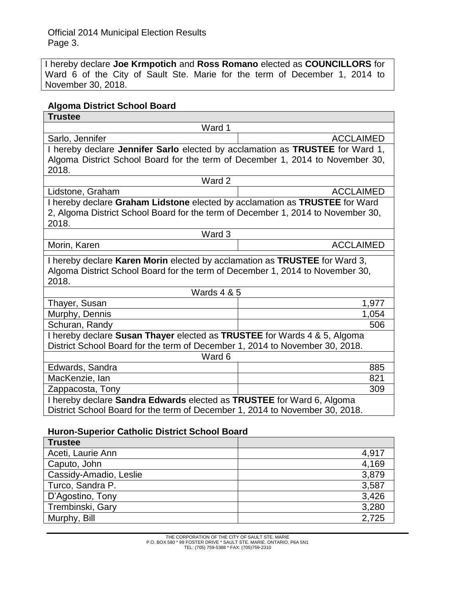I hereby declare **Joe Krmpotich** and **Ross Romano** elected as **COUNCILLORS** for Ward 6 of the City of Sault Ste. Marie for the term of December 1, 2014 to November 30, 2018.

# **Algoma District School Board**

| <b>Trustee</b><br>Ward 1<br>Sarlo, Jennifer<br><b>ACCLAIMED</b><br>I hereby declare Jennifer Sarlo elected by acclamation as TRUSTEE for Ward 1,<br>Algoma District School Board for the term of December 1, 2014 to November 30,<br>2018.<br>Ward 2<br><b>ACCLAIMED</b><br>Lidstone, Graham<br>I hereby declare Graham Lidstone elected by acclamation as TRUSTEE for Ward<br>2, Algoma District School Board for the term of December 1, 2014 to November 30,<br>2018.<br>Ward 3<br><b>ACCLAIMED</b><br>Morin, Karen<br>I hereby declare Karen Morin elected by acclamation as TRUSTEE for Ward 3,<br>Algoma District School Board for the term of December 1, 2014 to November 30,<br>2018.<br><b>Wards 4 &amp; 5</b><br>Thayer, Susan<br>1,977<br>Murphy, Dennis<br>1,054<br>Schuran, Randy<br>506<br>I hereby declare Susan Thayer elected as TRUSTEE for Wards 4 & 5, Algoma<br>District School Board for the term of December 1, 2014 to November 30, 2018.<br>Ward 6<br>885<br>Edwards, Sandra<br>MacKenzie, lan<br>821<br>Zappacosta, Tony<br>309<br>I hereby declare Sandra Edwards elected as TRUSTEE for Ward 6, Algoma | . 90. |  |  |
|-------------------------------------------------------------------------------------------------------------------------------------------------------------------------------------------------------------------------------------------------------------------------------------------------------------------------------------------------------------------------------------------------------------------------------------------------------------------------------------------------------------------------------------------------------------------------------------------------------------------------------------------------------------------------------------------------------------------------------------------------------------------------------------------------------------------------------------------------------------------------------------------------------------------------------------------------------------------------------------------------------------------------------------------------------------------------------------------------------------------------------------|-------|--|--|
|                                                                                                                                                                                                                                                                                                                                                                                                                                                                                                                                                                                                                                                                                                                                                                                                                                                                                                                                                                                                                                                                                                                                     |       |  |  |
|                                                                                                                                                                                                                                                                                                                                                                                                                                                                                                                                                                                                                                                                                                                                                                                                                                                                                                                                                                                                                                                                                                                                     |       |  |  |
|                                                                                                                                                                                                                                                                                                                                                                                                                                                                                                                                                                                                                                                                                                                                                                                                                                                                                                                                                                                                                                                                                                                                     |       |  |  |
|                                                                                                                                                                                                                                                                                                                                                                                                                                                                                                                                                                                                                                                                                                                                                                                                                                                                                                                                                                                                                                                                                                                                     |       |  |  |
|                                                                                                                                                                                                                                                                                                                                                                                                                                                                                                                                                                                                                                                                                                                                                                                                                                                                                                                                                                                                                                                                                                                                     |       |  |  |
|                                                                                                                                                                                                                                                                                                                                                                                                                                                                                                                                                                                                                                                                                                                                                                                                                                                                                                                                                                                                                                                                                                                                     |       |  |  |
|                                                                                                                                                                                                                                                                                                                                                                                                                                                                                                                                                                                                                                                                                                                                                                                                                                                                                                                                                                                                                                                                                                                                     |       |  |  |
|                                                                                                                                                                                                                                                                                                                                                                                                                                                                                                                                                                                                                                                                                                                                                                                                                                                                                                                                                                                                                                                                                                                                     |       |  |  |
|                                                                                                                                                                                                                                                                                                                                                                                                                                                                                                                                                                                                                                                                                                                                                                                                                                                                                                                                                                                                                                                                                                                                     |       |  |  |
|                                                                                                                                                                                                                                                                                                                                                                                                                                                                                                                                                                                                                                                                                                                                                                                                                                                                                                                                                                                                                                                                                                                                     |       |  |  |
|                                                                                                                                                                                                                                                                                                                                                                                                                                                                                                                                                                                                                                                                                                                                                                                                                                                                                                                                                                                                                                                                                                                                     |       |  |  |
|                                                                                                                                                                                                                                                                                                                                                                                                                                                                                                                                                                                                                                                                                                                                                                                                                                                                                                                                                                                                                                                                                                                                     |       |  |  |
|                                                                                                                                                                                                                                                                                                                                                                                                                                                                                                                                                                                                                                                                                                                                                                                                                                                                                                                                                                                                                                                                                                                                     |       |  |  |
|                                                                                                                                                                                                                                                                                                                                                                                                                                                                                                                                                                                                                                                                                                                                                                                                                                                                                                                                                                                                                                                                                                                                     |       |  |  |
|                                                                                                                                                                                                                                                                                                                                                                                                                                                                                                                                                                                                                                                                                                                                                                                                                                                                                                                                                                                                                                                                                                                                     |       |  |  |
|                                                                                                                                                                                                                                                                                                                                                                                                                                                                                                                                                                                                                                                                                                                                                                                                                                                                                                                                                                                                                                                                                                                                     |       |  |  |
|                                                                                                                                                                                                                                                                                                                                                                                                                                                                                                                                                                                                                                                                                                                                                                                                                                                                                                                                                                                                                                                                                                                                     |       |  |  |
|                                                                                                                                                                                                                                                                                                                                                                                                                                                                                                                                                                                                                                                                                                                                                                                                                                                                                                                                                                                                                                                                                                                                     |       |  |  |
|                                                                                                                                                                                                                                                                                                                                                                                                                                                                                                                                                                                                                                                                                                                                                                                                                                                                                                                                                                                                                                                                                                                                     |       |  |  |
|                                                                                                                                                                                                                                                                                                                                                                                                                                                                                                                                                                                                                                                                                                                                                                                                                                                                                                                                                                                                                                                                                                                                     |       |  |  |
|                                                                                                                                                                                                                                                                                                                                                                                                                                                                                                                                                                                                                                                                                                                                                                                                                                                                                                                                                                                                                                                                                                                                     |       |  |  |
|                                                                                                                                                                                                                                                                                                                                                                                                                                                                                                                                                                                                                                                                                                                                                                                                                                                                                                                                                                                                                                                                                                                                     |       |  |  |
|                                                                                                                                                                                                                                                                                                                                                                                                                                                                                                                                                                                                                                                                                                                                                                                                                                                                                                                                                                                                                                                                                                                                     |       |  |  |
|                                                                                                                                                                                                                                                                                                                                                                                                                                                                                                                                                                                                                                                                                                                                                                                                                                                                                                                                                                                                                                                                                                                                     |       |  |  |
|                                                                                                                                                                                                                                                                                                                                                                                                                                                                                                                                                                                                                                                                                                                                                                                                                                                                                                                                                                                                                                                                                                                                     |       |  |  |
|                                                                                                                                                                                                                                                                                                                                                                                                                                                                                                                                                                                                                                                                                                                                                                                                                                                                                                                                                                                                                                                                                                                                     |       |  |  |
|                                                                                                                                                                                                                                                                                                                                                                                                                                                                                                                                                                                                                                                                                                                                                                                                                                                                                                                                                                                                                                                                                                                                     |       |  |  |
| District School Board for the term of December 1, 2014 to November 30, 2018.                                                                                                                                                                                                                                                                                                                                                                                                                                                                                                                                                                                                                                                                                                                                                                                                                                                                                                                                                                                                                                                        |       |  |  |

## **Huron-Superior Catholic District School Board**

| <b>Trustee</b>         |       |
|------------------------|-------|
| Aceti, Laurie Ann      | 4,917 |
| Caputo, John           | 4,169 |
| Cassidy-Amadio, Leslie | 3,879 |
| Turco, Sandra P.       | 3,587 |
| D'Agostino, Tony       | 3,426 |
| Trembinski, Gary       | 3,280 |
| Murphy, Bill           | 2,725 |